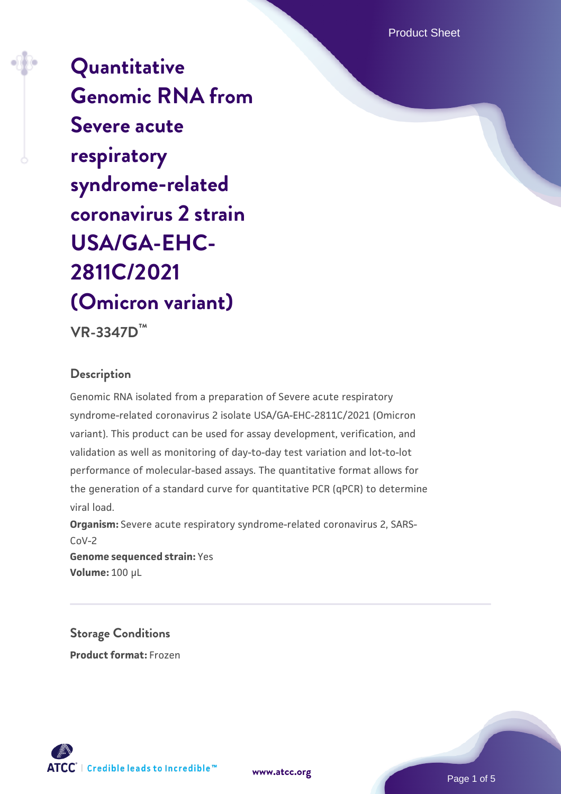Product Sheet

**[Quantitative](https://www.atcc.org/products/vr-3347d) [Genomic RNA from](https://www.atcc.org/products/vr-3347d) [Severe acute](https://www.atcc.org/products/vr-3347d) [respiratory](https://www.atcc.org/products/vr-3347d) [syndrome-related](https://www.atcc.org/products/vr-3347d) [coronavirus 2 strain](https://www.atcc.org/products/vr-3347d) [USA/GA-EHC-](https://www.atcc.org/products/vr-3347d)[2811C/2021](https://www.atcc.org/products/vr-3347d) [\(Omicron variant\)](https://www.atcc.org/products/vr-3347d)**

**VR-3347D™**

### **Description**

Genomic RNA isolated from a preparation of Severe acute respiratory syndrome-related coronavirus 2 isolate USA/GA-EHC-2811C/2021 (Omicron variant). This product can be used for assay development, verification, and validation as well as monitoring of day-to-day test variation and lot-to-lot performance of molecular-based assays. The quantitative format allows for the generation of a standard curve for quantitative PCR (qPCR) to determine viral load.

**Organism:** Severe acute respiratory syndrome-related coronavirus 2, SARS-CoV-2 **Genome sequenced strain:** Yes

**Volume:** 100 µL

**Storage Conditions Product format:** Frozen





Page 1 of 5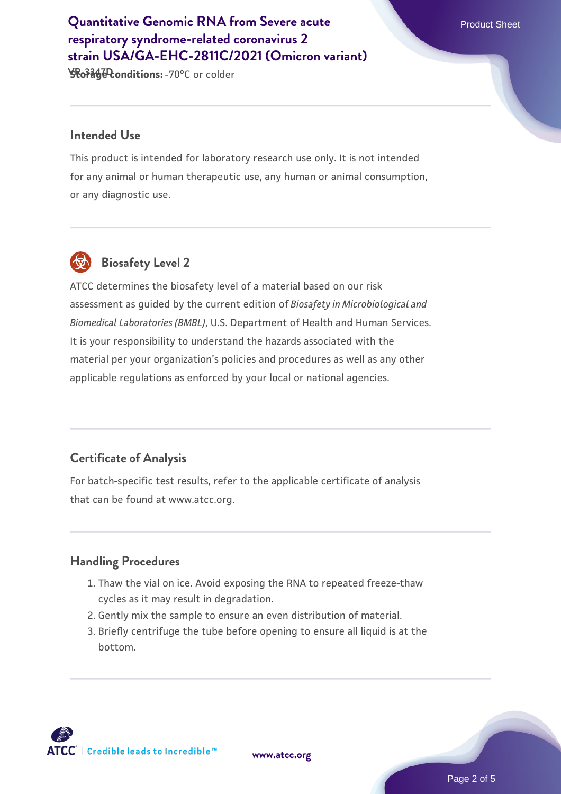# **[Quantitative Genomic RNA from Severe acute](https://www.atcc.org/products/vr-3347d)** Product Sheet **[respiratory syndrome-related coronavirus 2](https://www.atcc.org/products/vr-3347d) [strain USA/GA-EHC-2811C/2021 \(Omicron variant\)](https://www.atcc.org/products/vr-3347d)**

**YRo7342 Conditions: - 70°C or colder** 

#### **Intended Use**

This product is intended for laboratory research use only. It is not intended for any animal or human therapeutic use, any human or animal consumption, or any diagnostic use.



# **Biosafety Level 2**

ATCC determines the biosafety level of a material based on our risk assessment as guided by the current edition of *Biosafety in Microbiological and Biomedical Laboratories (BMBL)*, U.S. Department of Health and Human Services. It is your responsibility to understand the hazards associated with the material per your organization's policies and procedures as well as any other applicable regulations as enforced by your local or national agencies.

## **Certificate of Analysis**

For batch-specific test results, refer to the applicable certificate of analysis that can be found at www.atcc.org.

#### **Handling Procedures**

- 1. Thaw the vial on ice. Avoid exposing the RNA to repeated freeze-thaw cycles as it may result in degradation.
- 2. Gently mix the sample to ensure an even distribution of material.
- Briefly centrifuge the tube before opening to ensure all liquid is at the 3. bottom.



**[www.atcc.org](http://www.atcc.org)**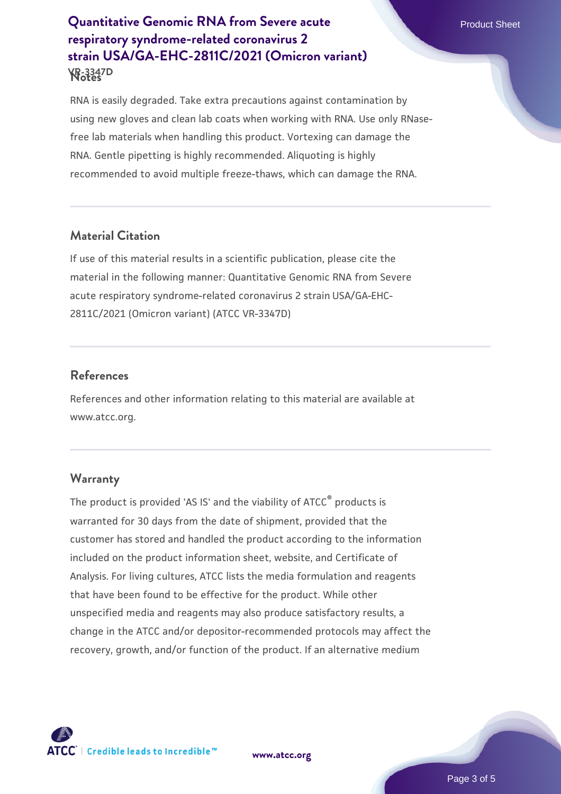# **Notes VR-3347D [Quantitative Genomic RNA from Severe acute](https://www.atcc.org/products/vr-3347d)** Product Sheet **[respiratory syndrome-related coronavirus 2](https://www.atcc.org/products/vr-3347d) [strain USA/GA-EHC-2811C/2021 \(Omicron variant\)](https://www.atcc.org/products/vr-3347d)**

RNA is easily degraded. Take extra precautions against contamination by using new gloves and clean lab coats when working with RNA. Use only RNasefree lab materials when handling this product. Vortexing can damage the RNA. Gentle pipetting is highly recommended. Aliquoting is highly recommended to avoid multiple freeze-thaws, which can damage the RNA.

## **Material Citation**

If use of this material results in a scientific publication, please cite the material in the following manner: Quantitative Genomic RNA from Severe acute respiratory syndrome-related coronavirus 2 strain USA/GA-EHC-2811C/2021 (Omicron variant) (ATCC VR-3347D)

#### **References**

References and other information relating to this material are available at www.atcc.org.

#### **Warranty**

The product is provided 'AS IS' and the viability of ATCC® products is warranted for 30 days from the date of shipment, provided that the customer has stored and handled the product according to the information included on the product information sheet, website, and Certificate of Analysis. For living cultures, ATCC lists the media formulation and reagents that have been found to be effective for the product. While other unspecified media and reagents may also produce satisfactory results, a change in the ATCC and/or depositor-recommended protocols may affect the recovery, growth, and/or function of the product. If an alternative medium



**[www.atcc.org](http://www.atcc.org)**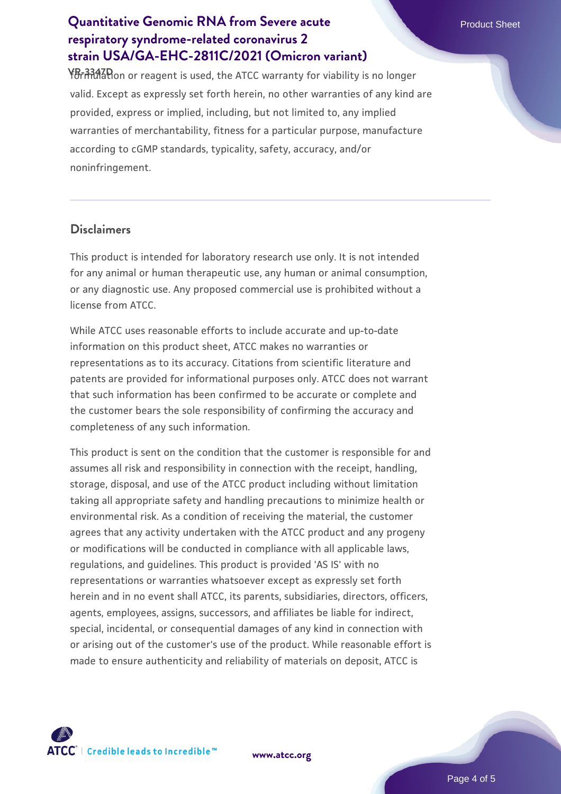# **[Quantitative Genomic RNA from Severe acute](https://www.atcc.org/products/vr-3347d)** Product Sheet **[respiratory syndrome-related coronavirus 2](https://www.atcc.org/products/vr-3347d) [strain USA/GA-EHC-2811C/2021 \(Omicron variant\)](https://www.atcc.org/products/vr-3347d)**

**YB-3347D** on or reagent is used, the ATCC warranty for viability is no longer valid. Except as expressly set forth herein, no other warranties of any kind are provided, express or implied, including, but not limited to, any implied warranties of merchantability, fitness for a particular purpose, manufacture according to cGMP standards, typicality, safety, accuracy, and/or noninfringement.

#### **Disclaimers**

This product is intended for laboratory research use only. It is not intended for any animal or human therapeutic use, any human or animal consumption, or any diagnostic use. Any proposed commercial use is prohibited without a license from ATCC.

While ATCC uses reasonable efforts to include accurate and up-to-date information on this product sheet, ATCC makes no warranties or representations as to its accuracy. Citations from scientific literature and patents are provided for informational purposes only. ATCC does not warrant that such information has been confirmed to be accurate or complete and the customer bears the sole responsibility of confirming the accuracy and completeness of any such information.

This product is sent on the condition that the customer is responsible for and assumes all risk and responsibility in connection with the receipt, handling, storage, disposal, and use of the ATCC product including without limitation taking all appropriate safety and handling precautions to minimize health or environmental risk. As a condition of receiving the material, the customer agrees that any activity undertaken with the ATCC product and any progeny or modifications will be conducted in compliance with all applicable laws, regulations, and guidelines. This product is provided 'AS IS' with no representations or warranties whatsoever except as expressly set forth herein and in no event shall ATCC, its parents, subsidiaries, directors, officers, agents, employees, assigns, successors, and affiliates be liable for indirect, special, incidental, or consequential damages of any kind in connection with or arising out of the customer's use of the product. While reasonable effort is made to ensure authenticity and reliability of materials on deposit, ATCC is



**[www.atcc.org](http://www.atcc.org)**

Page 4 of 5